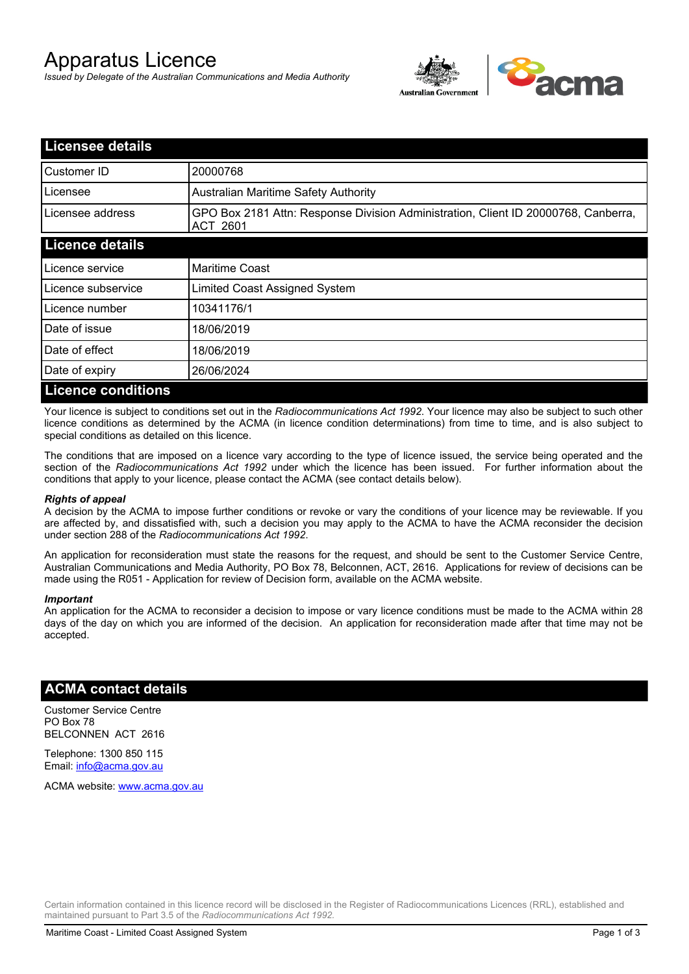# Apparatus Licence

*Issued by Delegate of the Australian Communications and Media Authority*



| <b>Licensee details</b>   |                                                                                                       |  |  |
|---------------------------|-------------------------------------------------------------------------------------------------------|--|--|
| Customer ID               | 20000768                                                                                              |  |  |
| Licensee                  | <b>Australian Maritime Safety Authority</b>                                                           |  |  |
| Licensee address          | GPO Box 2181 Attn: Response Division Administration, Client ID 20000768, Canberra,<br><b>ACT 2601</b> |  |  |
| <b>Licence details</b>    |                                                                                                       |  |  |
| Licence service           | <b>Maritime Coast</b>                                                                                 |  |  |
| Licence subservice        | Limited Coast Assigned System                                                                         |  |  |
| Licence number            | 10341176/1                                                                                            |  |  |
| Date of issue             | 18/06/2019                                                                                            |  |  |
| Date of effect            | 18/06/2019                                                                                            |  |  |
| Date of expiry            | 26/06/2024                                                                                            |  |  |
| <b>Licence conditions</b> |                                                                                                       |  |  |

Your licence is subject to conditions set out in the *Radiocommunications Act 1992*. Your licence may also be subject to such other licence conditions as determined by the ACMA (in licence condition determinations) from time to time, and is also subject to special conditions as detailed on this licence.

The conditions that are imposed on a licence vary according to the type of licence issued, the service being operated and the section of the *Radiocommunications Act 1992* under which the licence has been issued. For further information about the conditions that apply to your licence, please contact the ACMA (see contact details below).

### *Rights of appeal*

A decision by the ACMA to impose further conditions or revoke or vary the conditions of your licence may be reviewable. If you are affected by, and dissatisfied with, such a decision you may apply to the ACMA to have the ACMA reconsider the decision under section 288 of the *Radiocommunications Act 1992*.

An application for reconsideration must state the reasons for the request, and should be sent to the Customer Service Centre, Australian Communications and Media Authority, PO Box 78, Belconnen, ACT, 2616. Applications for review of decisions can be made using the R051 - Application for review of Decision form, available on the ACMA website.

#### *Important*

An application for the ACMA to reconsider a decision to impose or vary licence conditions must be made to the ACMA within 28 days of the day on which you are informed of the decision. An application for reconsideration made after that time may not be accepted.

## **ACMA contact details**

Customer Service Centre PO Box 78 BELCONNEN ACT 2616

Telephone: 1300 850 115 Email: info@acma.gov.au

ACMA website: www.acma.gov.au

Certain information contained in this licence record will be disclosed in the Register of Radiocommunications Licences (RRL), established and maintained pursuant to Part 3.5 of the *Radiocommunications Act 1992.*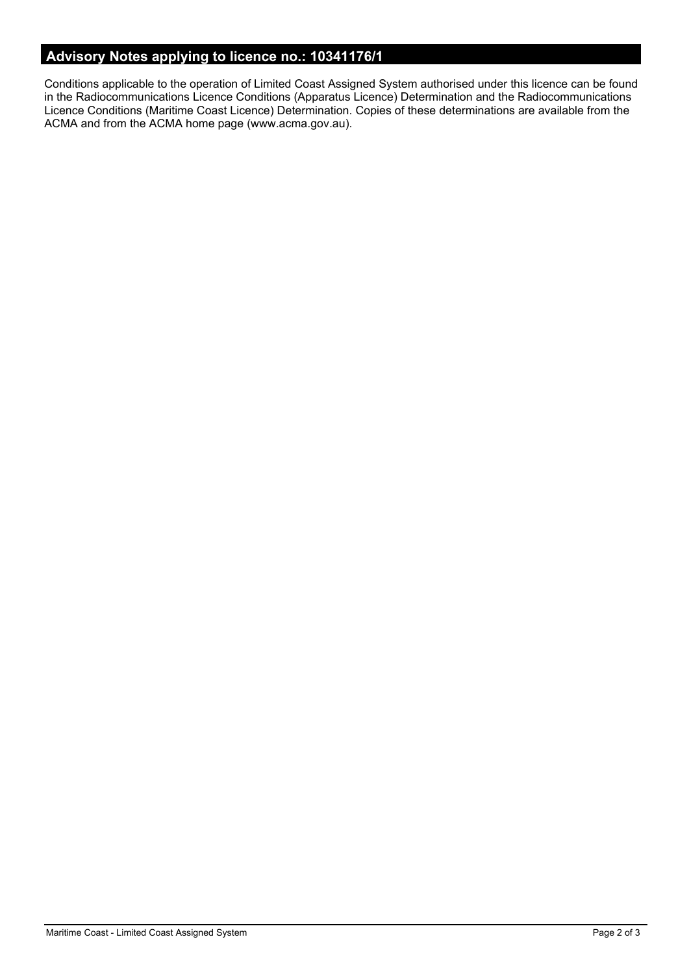# **Advisory Notes applying to licence no.: 10341176/1**

Conditions applicable to the operation of Limited Coast Assigned System authorised under this licence can be found in the Radiocommunications Licence Conditions (Apparatus Licence) Determination and the Radiocommunications Licence Conditions (Maritime Coast Licence) Determination. Copies of these determinations are available from the ACMA and from the ACMA home page (www.acma.gov.au).